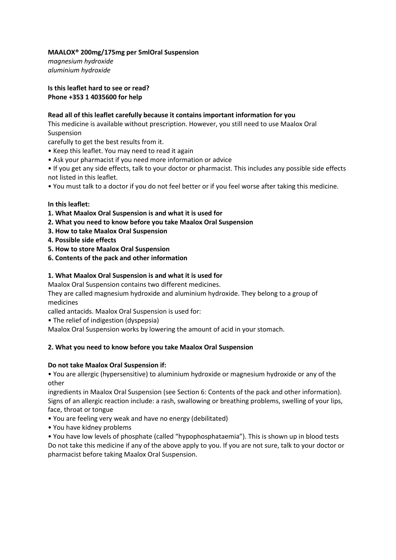# **MAALOX® 200mg/175mg per 5mlOral Suspension**

*magnesium hydroxide aluminium hydroxide*

**Is this leaflet hard to see or read? Phone +353 1 4035600 for help**

### **Read all of this leaflet carefully because it contains important information for you**

This medicine is available without prescription. However, you still need to use Maalox Oral Suspension

carefully to get the best results from it.

- Keep this leaflet. You may need to read it again
- Ask your pharmacist if you need more information or advice
- If you get any side effects, talk to your doctor or pharmacist. This includes any possible side effects not listed in this leaflet.
- You must talk to a doctor if you do not feel better or if you feel worse after taking this medicine.

### **In this leaflet:**

- **1. What Maalox Oral Suspension is and what it is used for**
- **2. What you need to know before you take Maalox Oral Suspension**
- **3. How to take Maalox Oral Suspension**
- **4. Possible side effects**
- **5. How to store Maalox Oral Suspension**
- **6. Contents of the pack and other information**

### **1. What Maalox Oral Suspension is and what it is used for**

Maalox Oral Suspension contains two different medicines.

They are called magnesium hydroxide and aluminium hydroxide. They belong to a group of medicines

called antacids. Maalox Oral Suspension is used for:

• The relief of indigestion (dyspepsia)

Maalox Oral Suspension works by lowering the amount of acid in your stomach.

### **2. What you need to know before you take Maalox Oral Suspension**

### **Do not take Maalox Oral Suspension if:**

• You are allergic (hypersensitive) to aluminium hydroxide or magnesium hydroxide or any of the other

ingredients in Maalox Oral Suspension (see Section 6: Contents of the pack and other information). Signs of an allergic reaction include: a rash, swallowing or breathing problems, swelling of your lips, face, throat or tongue

- You are feeling very weak and have no energy (debilitated)
- You have kidney problems

• You have low levels of phosphate (called "hypophosphataemia"). This is shown up in blood tests Do not take this medicine if any of the above apply to you. If you are not sure, talk to your doctor or pharmacist before taking Maalox Oral Suspension.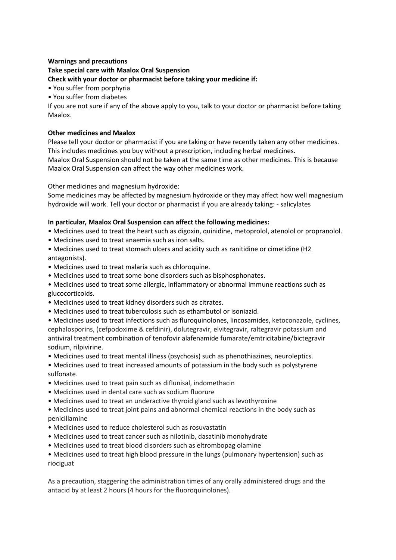### **Warnings and precautions Take special care with Maalox Oral Suspension Check with your doctor or pharmacist before taking your medicine if:**

- You suffer from porphyria
- You suffer from diabetes

If you are not sure if any of the above apply to you, talk to your doctor or pharmacist before taking Maalox.

# **Other medicines and Maalox**

Please tell your doctor or pharmacist if you are taking or have recently taken any other medicines. This includes medicines you buy without a prescription, including herbal medicines.

Maalox Oral Suspension should not be taken at the same time as other medicines. This is because Maalox Oral Suspension can affect the way other medicines work.

Other medicines and magnesium hydroxide:

Some medicines may be affected by magnesium hydroxide or they may affect how well magnesium hydroxide will work. Tell your doctor or pharmacist if you are already taking: - salicylates

# **In particular, Maalox Oral Suspension can affect the following medicines:**

- Medicines used to treat the heart such as digoxin, quinidine, metoprolol, atenolol or propranolol.
- Medicines used to treat anaemia such as iron salts.
- Medicines used to treat stomach ulcers and acidity such as ranitidine or cimetidine (H2 antagonists).
- Medicines used to treat malaria such as chloroquine.
- Medicines used to treat some bone disorders such as bisphosphonates.
- Medicines used to treat some allergic, inflammatory or abnormal immune reactions such as glucocorticoids.
- Medicines used to treat kidney disorders such as citrates.
- Medicines used to treat tuberculosis such as ethambutol or isoniazid.
- Medicines used to treat infections such as fluroquinolones, lincosamides, ketoconazole, cyclines, cephalosporins, (cefpodoxime & cefdinir), dolutegravir, elvitegravir, raltegravir potassium and antiviral treatment combination of tenofovir alafenamide fumarate/emtricitabine/bictegravir sodium, rilpivirine.
- Medicines used to treat mental illness (psychosis) such as phenothiazines, neuroleptics.
- Medicines used to treat increased amounts of potassium in the body such as polystyrene sulfonate.
- Medicines used to treat pain such as diflunisal, indomethacin
- Medicines used in dental care such as sodium fluorure
- Medicines used to treat an underactive thyroid gland such as levothyroxine
- Medicines used to treat joint pains and abnormal chemical reactions in the body such as penicillamine
- Medicines used to reduce cholesterol such as rosuvastatin
- Medicines used to treat cancer such as nilotinib, dasatinib monohydrate
- Medicines used to treat blood disorders such as eltrombopag olamine
- Medicines used to treat high blood pressure in the lungs (pulmonary hypertension) such as riociguat

As a precaution, staggering the administration times of any orally administered drugs and the antacid by at least 2 hours (4 hours for the fluoroquinolones).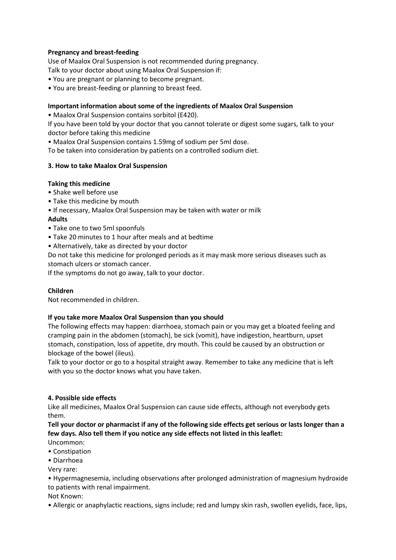# **Pregnancy and breast-feeding**

Use of Maalox Oral Suspension is not recommended during pregnancy.

Talk to your doctor about using Maalox Oral Suspension if:

- You are pregnant or planning to become pregnant.
- You are breast-feeding or planning to breast feed.

### **Important information about some of the ingredients of Maalox Oral Suspension**

• Maalox Oral Suspension contains sorbitol (E420).

If you have been told by your doctor that you cannot tolerate or digest some sugars, talk to your doctor before taking this medicine

• Maalox Oral Suspension contains 1.59mg of sodium per 5ml dose.

To be taken into consideration by patients on a controlled sodium diet.

# **3. How to take Maalox Oral Suspension**

# **Taking this medicine**

- Shake well before use
- Take this medicine by mouth
- If necessary, Maalox Oral Suspension may be taken with water or milk
- **Adults**
- Take one to two 5ml spoonfuls
- Take 20 minutes to 1 hour after meals and at bedtime
- Alternatively, take as directed by your doctor
- Do not take this medicine for prolonged periods as it may mask more serious diseases such as stomach ulcers or stomach cancer.

If the symptoms do not go away, talk to your doctor.

### **Children**

Not recommended in children.

### **If you take more Maalox Oral Suspension than you should**

The following effects may happen: diarrhoea, stomach pain or you may get a bloated feeling and cramping pain in the abdomen (stomach), be sick (vomit), have indigestion, heartburn, upset stomach, constipation, loss of appetite, dry mouth. This could be caused by an obstruction or blockage of the bowel (ileus).

Talk to your doctor or go to a hospital straight away. Remember to take any medicine that is left with you so the doctor knows what you have taken.

### **4. Possible side effects**

Like all medicines, Maalox Oral Suspension can cause side effects, although not everybody gets them.

**Tell your doctor or pharmacist if any of the following side effects get serious or lasts longer than a few days. Also tell them if you notice any side effects not listed in this leaflet:**

- Uncommon: • Constipation
- Diarrhoea
- Very rare:

• Hypermagnesemia, including observations after prolonged administration of magnesium hydroxide to patients with renal impairment.

Not Known:

• Allergic or anaphylactic reactions, signs include; red and lumpy skin rash, swollen eyelids, face, lips,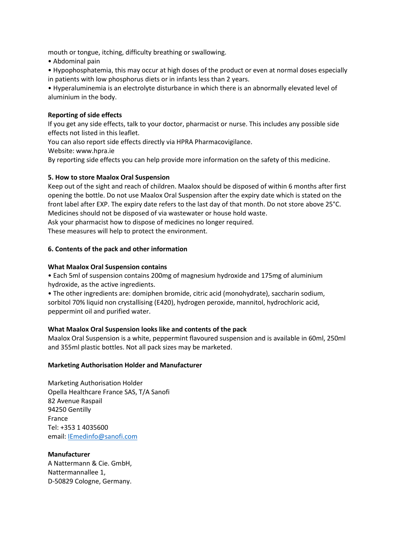mouth or tongue, itching, difficulty breathing or swallowing.

• Abdominal pain

• Hypophosphatemia, this may occur at high doses of the product or even at normal doses especially in patients with low phosphorus diets or in infants less than 2 years.

• Hyperaluminemia is an electrolyte disturbance in which there is an abnormally elevated level of aluminium in the body.

# **Reporting of side effects**

If you get any side effects, talk to your doctor, pharmacist or nurse. This includes any possible side effects not listed in this leaflet.

You can also report side effects directly via HPRA Pharmacovigilance.

Website: www.hpra.ie

By reporting side effects you can help provide more information on the safety of this medicine.

# **5. How to store Maalox Oral Suspension**

Keep out of the sight and reach of children. Maalox should be disposed of within 6 months after first opening the bottle. Do not use Maalox Oral Suspension after the expiry date which is stated on the front label after EXP. The expiry date refers to the last day of that month. Do not store above 25°C. Medicines should not be disposed of via wastewater or house hold waste.

Ask your pharmacist how to dispose of medicines no longer required.

These measures will help to protect the environment.

# **6. Contents of the pack and other information**

### **What Maalox Oral Suspension contains**

• Each 5ml of suspension contains 200mg of magnesium hydroxide and 175mg of aluminium hydroxide, as the active ingredients.

• The other ingredients are: domiphen bromide, citric acid (monohydrate), saccharin sodium, sorbitol 70% liquid non crystallising (E420), hydrogen peroxide, mannitol, hydrochloric acid, peppermint oil and purified water.

### **What Maalox Oral Suspension looks like and contents of the pack**

Maalox Oral Suspension is a white, peppermint flavoured suspension and is available in 60ml, 250ml and 355ml plastic bottles. Not all pack sizes may be marketed.

### **Marketing Authorisation Holder and Manufacturer**

Marketing Authorisation Holder Opella Healthcare France SAS, T/A Sanofi 82 Avenue Raspail 94250 Gentilly France Tel: +353 1 4035600 email: [IEmedinfo@sanofi.com](mailto:IEmedinfo@sanofi.com)

**Manufacturer** A Nattermann & Cie. GmbH, Nattermannallee 1, D-50829 Cologne, Germany.